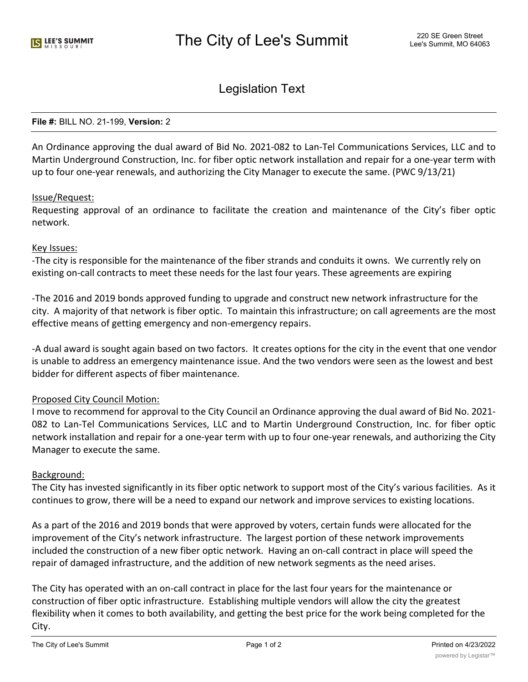# Legislation Text

### **File #:** BILL NO. 21-199, **Version:** 2

An Ordinance approving the dual award of Bid No. 2021-082 to Lan-Tel Communications Services, LLC and to Martin Underground Construction, Inc. for fiber optic network installation and repair for a one-year term with up to four one-year renewals, and authorizing the City Manager to execute the same. (PWC 9/13/21)

## Issue/Request:

Requesting approval of an ordinance to facilitate the creation and maintenance of the City's fiber optic network.

## Key Issues:

-The city is responsible for the maintenance of the fiber strands and conduits it owns. We currently rely on existing on-call contracts to meet these needs for the last four years. These agreements are expiring

-The 2016 and 2019 bonds approved funding to upgrade and construct new network infrastructure for the city. A majority of that network is fiber optic. To maintain this infrastructure; on call agreements are the most effective means of getting emergency and non-emergency repairs.

-A dual award is sought again based on two factors. It creates options for the city in the event that one vendor is unable to address an emergency maintenance issue. And the two vendors were seen as the lowest and best bidder for different aspects of fiber maintenance.

## Proposed City Council Motion:

I move to recommend for approval to the City Council an Ordinance approving the dual award of Bid No. 2021- 082 to Lan-Tel Communications Services, LLC and to Martin Underground Construction, Inc. for fiber optic network installation and repair for a one-year term with up to four one-year renewals, and authorizing the City Manager to execute the same.

## Background:

The City has invested significantly in its fiber optic network to support most of the City's various facilities. As it continues to grow, there will be a need to expand our network and improve services to existing locations.

As a part of the 2016 and 2019 bonds that were approved by voters, certain funds were allocated for the improvement of the City's network infrastructure. The largest portion of these network improvements included the construction of a new fiber optic network. Having an on-call contract in place will speed the repair of damaged infrastructure, and the addition of new network segments as the need arises.

The City has operated with an on-call contract in place for the last four years for the maintenance or construction of fiber optic infrastructure. Establishing multiple vendors will allow the city the greatest flexibility when it comes to both availability, and getting the best price for the work being completed for the City.